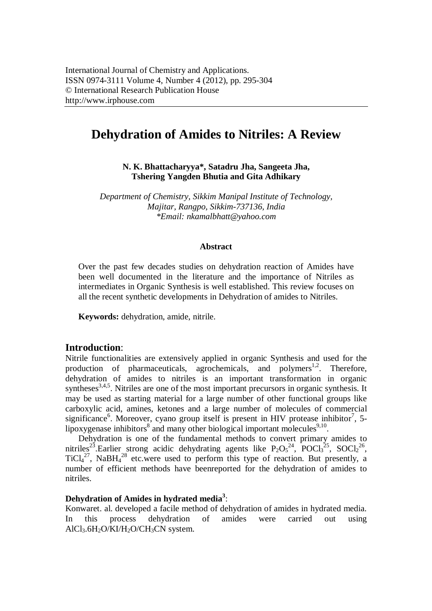# **Dehydration of Amides to Nitriles: A Review**

**N. K. Bhattacharyya\*, Satadru Jha, Sangeeta Jha, Tshering Yangden Bhutia and Gita Adhikary**

*Department of Chemistry, Sikkim Manipal Institute of Technology, Majitar, Rangpo, Sikkim-737136, India \*Email: nkamalbhatt@yahoo.com*

#### **Abstract**

Over the past few decades studies on dehydration reaction of Amides have been well documented in the literature and the importance of Nitriles as intermediates in Organic Synthesis is well established. This review focuses on all the recent synthetic developments in Dehydration of amides to Nitriles.

**Keywords:** dehydration, amide, nitrile.

### **Introduction**:

Nitrile functionalities are extensively applied in organic Synthesis and used for the production of pharmaceuticals, agrochemicals, and polymers<sup>1,2</sup>. Therefore, dehydration of amides to nitriles is an important transformation in organic syntheses $3,4,5$ . Nitriles are one of the most important precursors in organic synthesis. It may be used as starting material for a large number of other functional groups like carboxylic acid, amines, ketones and a large number of molecules of commercial significance<sup>6</sup>. Moreover, cyano group itself is present in HIV protease inhibitor<sup>7</sup>, 5lipoxygenase inhibitors<sup>8</sup> and many other biological important molecules<sup>9,10</sup>.

Dehydration is one of the fundamental methods to convert primary amides to nitriles<sup>23</sup>.Earlier strong acidic dehydrating agents like  $P_2O_5^{24}$ ,  $POCl_3^{25}$ ,  $SOCl_2^{26}$ ,  $TiCl<sub>4</sub><sup>27</sup>$ , NaBH<sub>4</sub><sup>28</sup> etc.were used to perform this type of reaction. But presently, a number of efficient methods have beenreported for the dehydration of amides to nitriles.

# **Dehydration of Amides in hydrated media<sup>3</sup>** :

Konwaret. al. developed a facile method of dehydration of amides in hydrated media. In this process dehydration of amides were carried out using  $AICI<sub>3</sub>.6H<sub>2</sub>O/KI/H<sub>2</sub>O/CH<sub>3</sub>CN system.$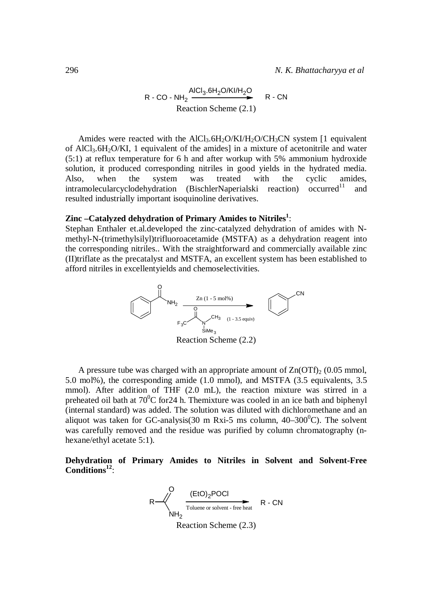$$
R - CO - NH_2 \xrightarrow{\text{AlCl}_3.6H_2O/KI/H_2O} R - CN
$$
\n\n
$$
\text{Reaction Scheme (2.1)}
$$

Amides were reacted with the  $AICl<sub>3</sub>.6H<sub>2</sub>O/KI/H<sub>2</sub>O/CH<sub>3</sub>CN$  system [1 equivalent of AlCl<sub>3</sub>.6H<sub>2</sub>O/KI, 1 equivalent of the amides] in a mixture of acetonitrile and water (5:1) at reflux temperature for 6 h and after workup with 5% ammonium hydroxide solution, it produced corresponding nitriles in good yields in the hydrated media. Also, when the system was treated with the cyclic amides,  $in$ tramolecularcyclodehydration (BischlerNaperialski reaction) occurred<sup>11</sup> and resulted industrially important isoquinoline derivatives.

# **Zinc –Catalyzed dehydration of Primary Amides to Nitriles<sup>1</sup>** :

Stephan Enthaler et.al.developed the zinc-catalyzed dehydration of amides with Nmethyl-N-(trimethylsilyl)trifluoroacetamide (MSTFA) as a dehydration reagent into the corresponding nitriles.. With the straightforward and commercially available zinc (II)triflate as the precatalyst and MSTFA, an excellent system has been established to afford nitriles in excellentyields and chemoselectivities.



A pressure tube was charged with an appropriate amount of  $Zn(OTP)$  (0.05 mmol, 5.0 mol%), the corresponding amide (1.0 mmol), and MSTFA (3.5 equivalents, 3.5 mmol). After addition of THF (2.0 mL), the reaction mixture was stirred in a preheated oil bath at  $70^{\circ}$ C for 24 h. The mixture was cooled in an ice bath and biphenyl (internal standard) was added. The solution was diluted with dichloromethane and an aliquot was taken for GC-analysis(30 m Rxi-5 ms column,  $40-300^{\circ}$ C). The solvent was carefully removed and the residue was purified by column chromatography (nhexane/ethyl acetate 5:1).

**Dehydration of Primary Amides to Nitriles in Solvent and Solvent-Free Conditions<sup>12</sup>** :

$$
R \longrightarrow \begin{matrix} Q & (EtO)2POCl & & & & R - CN \\ \hline \text{Toluene or solvent - free heat} & R - CN & & \\ \text{Reaction Scheme} & (2.3) & & \end{matrix}
$$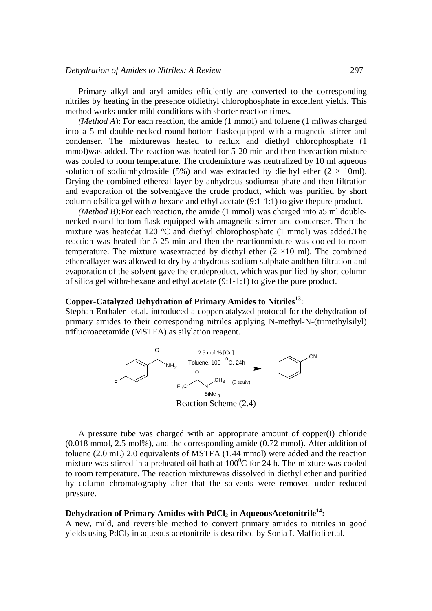Primary alkyl and aryl amides efficiently are converted to the corresponding nitriles by heating in the presence ofdiethyl chlorophosphate in excellent yields. This method works under mild conditions with shorter reaction times.

*(Method A*): For each reaction, the amide (1 mmol) and toluene (1 ml)was charged into a 5 ml double-necked round-bottom flaskequipped with a magnetic stirrer and condenser. The mixturewas heated to reflux and diethyl chlorophosphate (1 mmol)was added. The reaction was heated for 5-20 min and then thereaction mixture was cooled to room temperature. The crudemixture was neutralized by 10 ml aqueous solution of sodiumhydroxide (5%) and was extracted by diethyl ether (2  $\times$  10ml). Drying the combined ethereal layer by anhydrous sodiumsulphate and then filtration and evaporation of the solventgave the crude product, which was purified by short column ofsilica gel with *n*-hexane and ethyl acetate (9:1-1:1) to give thepure product.

*(Method B)*:For each reaction, the amide (1 mmol) was charged into a5 ml doublenecked round-bottom flask equipped with amagnetic stirrer and condenser. Then the mixture was heatedat 120 °C and diethyl chlorophosphate (1 mmol) was added.The reaction was heated for 5-25 min and then the reactionmixture was cooled to room temperature. The mixture was extracted by diethyl ether  $(2 \times 10 \text{ ml})$ . The combined ethereallayer was allowed to dry by anhydrous sodium sulphate andthen filtration and evaporation of the solvent gave the crudeproduct, which was purified by short column of silica gel with*n*-hexane and ethyl acetate (9:1-1:1) to give the pure product.

# **Copper-Catalyzed Dehydration of Primary Amides to Nitriles<sup>13</sup>** :

Stephan Enthaler et.al. introduced a coppercatalyzed protocol for the dehydration of primary amides to their corresponding nitriles applying N-methyl-N-(trimethylsilyl) trifluoroacetamide (MSTFA) as silylation reagent.



A pressure tube was charged with an appropriate amount of copper(I) chloride (0.018 mmol, 2.5 mol%), and the corresponding amide (0.72 mmol). After addition of toluene (2.0 mL) 2.0 equivalents of MSTFA (1.44 mmol) were added and the reaction mixture was stirred in a preheated oil bath at  $100^{\circ}$ C for 24 h. The mixture was cooled to room temperature. The reaction mixturewas dissolved in diethyl ether and purified by column chromatography after that the solvents were removed under reduced pressure.

#### **Dehydration of Primary Amides with PdCl<sup>2</sup> in AqueousAcetonitrile<sup>14</sup>:**

A new, mild, and reversible method to convert primary amides to nitriles in good yields using PdCl<sub>2</sub> in aqueous acetonitrile is described by Sonia I. Maffioli et.al.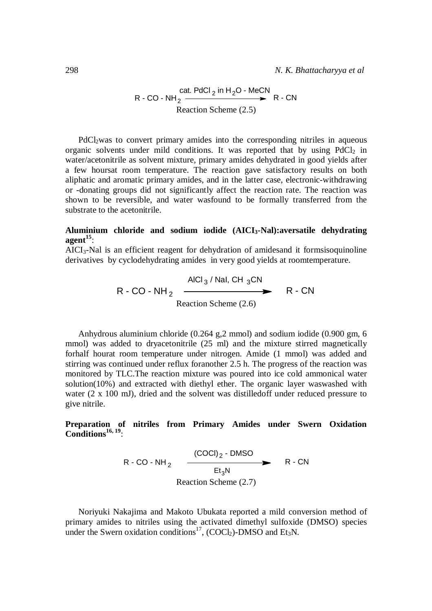R - CO - NH<sub>2</sub> 
$$
\xrightarrow{\text{cat. PdCl}_2 \text{ in H}_2\text{O} - \text{MeCN}} R - \text{CN}
$$
  
Reaction Scheme (2.5)

PdCl<sub>2</sub>was to convert primary amides into the corresponding nitriles in aqueous organic solvents under mild conditions. It was reported that by using  $PdCl<sub>2</sub>$  in water/acetonitrile as solvent mixture, primary amides dehydrated in good yields after a few hoursat room temperature. The reaction gave satisfactory results on both aliphatic and aromatic primary amides, and in the latter case, electronic-withdrawing or -donating groups did not significantly affect the reaction rate. The reaction was shown to be reversible, and water wasfound to be formally transferred from the substrate to the acetonitrile.

### **Aluminium chloride and sodium iodide (AICI3-Nal):aversatile dehydrating agent<sup>15</sup>** :

AICI3-Nal is an efficient reagent for dehydration of amidesand it formsisoquinoline derivatives by cyclodehydrating amides in very good yields at roomtemperature.

$$
R - CO - NH_2 \xrightarrow{\text{AICI}_3 / \text{Nal, CH}_3 CN} R - CN
$$
\n  
\n
$$
\text{Reaction Scheme (2.6)}
$$
\n
$$
R - CN
$$

Anhydrous aluminium chloride (0.264 g,2 mmol) and sodium iodide (0.900 gm, 6 mmol) was added to dryacetonitrile (25 ml) and the mixture stirred magnetically forhalf hourat room temperature under nitrogen. Amide (1 mmol) was added and stirring was continued under reflux foranother 2.5 h. The progress of the reaction was monitored by TLC.The reaction mixture was poured into ice cold ammonical water solution(10%) and extracted with diethyl ether. The organic layer waswashed with water (2 x 100 mJ), dried and the solvent was distilledoff under reduced pressure to give nitrile.

## **Preparation of nitriles from Primary Amides under Swern Oxidation Conditions16, 19** :

$$
R - CO - NH_2 \xrightarrow{\text{(COCl)}_2 - \text{DMSO}} R - CN
$$
\n  
\n
$$
\text{Reaction Scheme (2.7)}
$$
\n
$$
R - CN
$$

Noriyuki Nakajima and Makoto Ubukata reported a mild conversion method of primary amides to nitriles using the activated dimethyl sulfoxide (DMSO) species under the Swern oxidation conditions<sup>17</sup>, (COCl<sub>2</sub>)-DMSO and Et<sub>3</sub>N.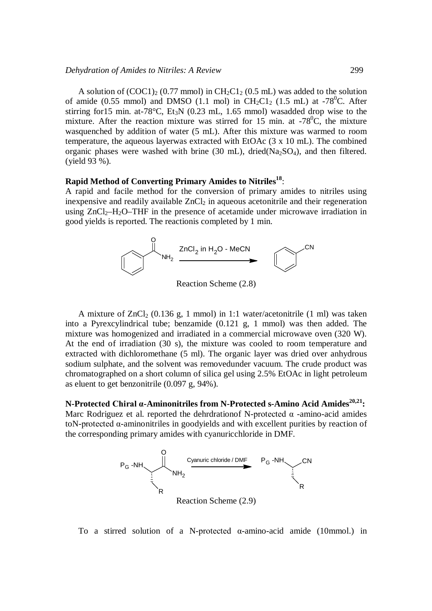#### *Dehydration of Amides to Nitriles: A Review* 299

A solution of  $(COC1)_2$  (0.77 mmol) in  $CH_2Cl_2$  (0.5 mL) was added to the solution of amide (0.55 mmol) and DMSO (1.1 mol) in CH<sub>2</sub>C1<sub>2</sub> (1.5 mL) at -78<sup>0</sup>C. After stirring for 15 min. at  $-78^{\circ}$ C, Et<sub>3</sub>N (0.23 mL, 1.65 mmol) wasadded drop wise to the mixture. After the reaction mixture was stirred for 15 min. at  $-78^{\circ}$ C, the mixture wasquenched by addition of water (5 mL). After this mixture was warmed to room temperature, the aqueous layerwas extracted with EtOAc (3 x 10 mL). The combined organic phases were washed with brine  $(30 \text{ mL})$ , dried $(Na_2SO_4)$ , and then filtered. (yield 93 %).

# **Rapid Method of Converting Primary Amides to Nitriles<sup>18</sup>** :

A rapid and facile method for the conversion of primary amides to nitriles using inexpensive and readily available  $ZnCl<sub>2</sub>$  in aqueous acetonitrile and their regeneration using  $ZnCl_2-H_2O-THF$  in the presence of acetamide under microwave irradiation in good yields is reported. The reactionis completed by 1 min.



Reaction Scheme (2.8)

A mixture of  $ZnCl_2$  (0.136 g, 1 mmol) in 1:1 water/acetonitrile (1 ml) was taken into a Pyrexcylindrical tube; benzamide (0.121 g, 1 mmol) was then added. The mixture was homogenized and irradiated in a commercial microwave oven (320 W). At the end of irradiation (30 s), the mixture was cooled to room temperature and extracted with dichloromethane (5 ml). The organic layer was dried over anhydrous sodium sulphate, and the solvent was removedunder vacuum. The crude product was chromatographed on a short column of silica gel using 2.5% EtOAc in light petroleum as eluent to get benzonitrile (0.097 g, 94%).

**N-Protected Chiral α-Aminonitriles from N-Protected s-Amino Acid Amides20,21:** Marc Rodriguez et al. reported the dehrdrationof N-protected  $\alpha$  -amino-acid amides toN-protected α-aminonitriles in goodyields and with excellent purities by reaction of the corresponding primary amides with cyanuricchloride in DMF.



To a stirred solution of a N-protected α-amino-acid amide (10mmol.) in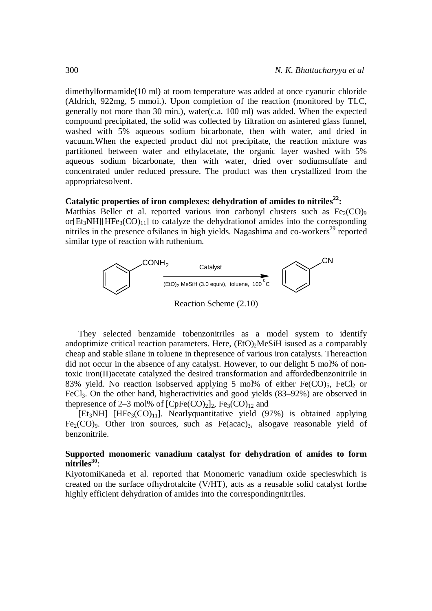dimethylformamide(10 ml) at room temperature was added at once cyanuric chloride (Aldrich, 922mg, 5 mmoi.). Upon completion of the reaction (monitored by TLC, generally not more than 30 min.), water(c.a. 100 ml) was added. When the expected compound precipitated, the solid was collected by filtration on asintered glass funnel, washed with 5% aqueous sodium bicarbonate, then with water, and dried in vacuum.When the expected product did not precipitate, the reaction mixture was partitioned between water and ethylacetate, the organic layer washed with 5% aqueous sodium bicarbonate, then with water, dried over sodiumsulfate and concentrated under reduced pressure. The product was then crystallized from the appropriatesolvent.

#### **Catalytic properties of iron complexes: dehydration of amides to nitriles<sup>22</sup>:**

Matthias Beller et al. reported various iron carbonyl clusters such as  $Fe<sub>2</sub>(CO)<sub>9</sub>$ or $[Et_3NH][HFe_3(CO)_{11}]$  to catalyze the dehydrationof amides into the corresponding nitriles in the presence of silanes in high yields. Nagashima and co-workers<sup>29</sup> reported similar type of reaction with ruthenium.



They selected benzamide tobenzonitriles as a model system to identify andoptimize critical reaction parameters. Here,  $(EtO)<sub>2</sub>MeSiH$  isused as a comparably cheap and stable silane in toluene in thepresence of various iron catalysts. Thereaction did not occur in the absence of any catalyst. However, to our delight 5 mol% of nontoxic iron(II)acetate catalyzed the desired transformation and affordedbenzonitrile in 83% yield. No reaction isobserved applying 5 mol% of either  $Fe(CO)_5$ ,  $FeCl<sub>2</sub>$  or FeCl3. On the other hand, higheractivities and good yields (83–92%) are observed in thepresence of 2–3 mol% of  $[CpFe(CO)<sub>2</sub>]$ <sub>2</sub>, Fe<sub>3</sub>(CO)<sub>12</sub> and

[Et<sub>3</sub>NH] [HFe<sub>3</sub>(CO)<sub>11</sub>]. Nearlyquantitative yield (97%) is obtained applying Fe<sub>2</sub>(CO)<sub>9</sub>. Other iron sources, such as Fe(acac)<sub>3</sub>, alsogave reasonable yield of benzonitrile.

### **Supported monomeric vanadium catalyst for dehydration of amides to form nitriles<sup>30</sup>** :

KiyotomiKaneda et al. reported that Monomeric vanadium oxide specieswhich is created on the surface ofhydrotalcite (V/HT), acts as a reusable solid catalyst forthe highly efficient dehydration of amides into the correspondingnitriles.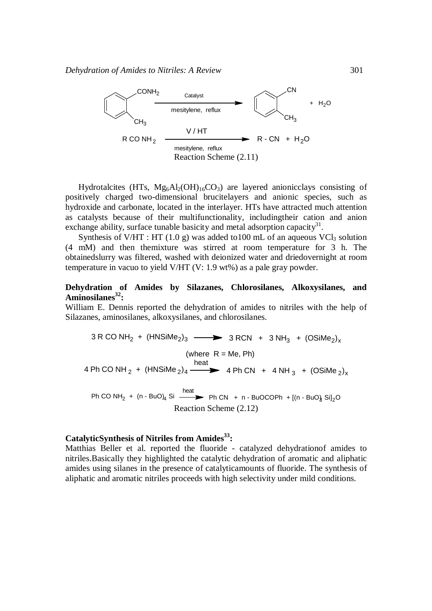

Hydrotalcites (HTs,  $Mg_6A_2(OH)_1gCO_3$ ) are layered anionicclays consisting of positively charged two-dimensional brucitelayers and anionic species, such as hydroxide and carbonate, located in the interlayer. HTs have attracted much attention as catalysts because of their multifunctionality, includingtheir cation and anion exchange ability, surface tunable basicity and metal adsorption capacity<sup>31</sup>.

Synthesis of V/HT : HT (1.0 g) was added to 100 mL of an aqueous VCl<sub>3</sub> solution (4 mM) and then themixture was stirred at room temperature for 3 h. The obtainedslurry was filtered, washed with deionized water and driedovernight at room temperature in vacuo to yield V/HT (V: 1.9 wt%) as a pale gray powder.

#### **Dehydration of Amides by Silazanes, Chlorosilanes, Alkoxysilanes, and Aminosilanes<sup>32</sup>:**

William E. Dennis reported the dehydration of amides to nitriles with the help of Silazanes, aminosilanes, alkoxysilanes, and chlorosilanes.

$$
3 \text{ R CO NH}_2 + (\text{HNSiMe}_2)_3 \longrightarrow 3 \text{ RCN } + 3 \text{ NH}_3 + (\text{OSiMe}_2)_x
$$
\n
$$
(\text{where } R = \text{Me, Ph})
$$
\n
$$
4 \text{ Ph CO NH}_2 + (\text{HNSiMe}_2)_4 \longrightarrow 4 \text{ Ph CN } + 4 \text{ NH}_3 + (\text{OSiMe}_2)_x
$$
\n
$$
\text{Ph CO NH}_2 + (\text{n-BuO}_4 \text{Si} \longrightarrow \text{Ph CN } + \text{n-BuOCOPh } + [(\text{n-BuO}_8 \text{Si}]_2\text{O}
$$
\n
$$
\text{Reaction Scheme } (2.12)
$$

# **CatalyticSynthesis of Nitriles from Amides<sup>33</sup>:**

Matthias Beller et al. reported the fluoride - catalyzed dehydrationof amides to nitriles.Basically they highlighted the catalytic dehydration of aromatic and aliphatic amides using silanes in the presence of catalyticamounts of fluoride. The synthesis of aliphatic and aromatic nitriles proceeds with high selectivity under mild conditions.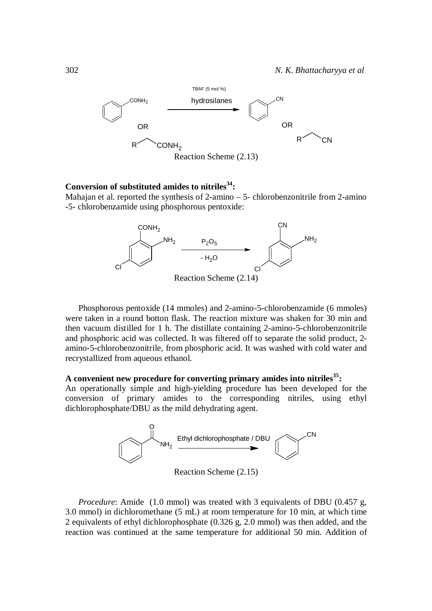

### **Conversion of substituted amides to nitriles<sup>34</sup>:**

Mahajan et al. reported the synthesis of 2-amino – 5- chlorobenzonitrile from 2-amino -5- chlorobenzamide using phosphorous pentoxide:



Phosphorous pentoxide (14 mmoles) and 2-amino-5-chlorobenzamide (6 mmoles) were taken in a round botton flask. The reaction mixture was shaken for 30 min and then vacuum distilled for 1 h. The distillate containing 2-amino-5-chlorobenzonitrile and phosphoric acid was collected. It was filtered off to separate the solid product, 2 amino-5-chlorobenzonitrile, from phosphoric acid. It was washed with cold water and recrystallized from aqueous ethanol.

# **A convenient new procedure for converting primary amides into nitriles<sup>35</sup>:**

An operationally simple and high-yielding procedure has been developed for the conversion of primary amides to the corresponding nitriles, using ethyl dichlorophosphate/DBU as the mild dehydrating agent.



Reaction Scheme (2.15)

*Procedure*: Amide (1.0 mmol) was treated with 3 equivalents of DBU (0.457 g, 3.0 mmol) in dichloromethane (5 mL) at room temperature for 10 min, at which time 2 equivalents of ethyl dichlorophosphate (0.326 g, 2.0 mmol) was then added, and the reaction was continued at the same temperature for additional 50 min. Addition of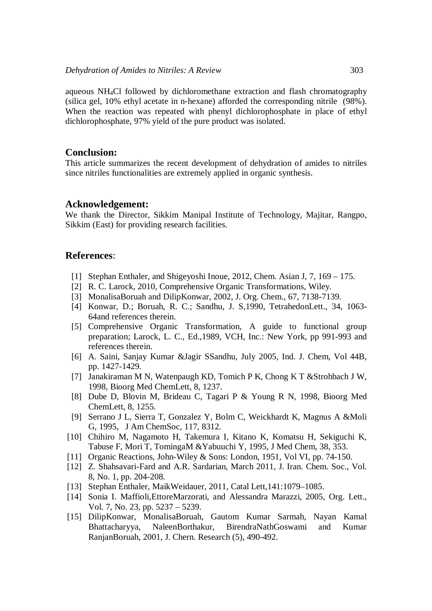aqueous NH4Cl followed by dichloromethane extraction and flash chromatography (silica gel, 10% ethyl acetate in n-hexane) afforded the corresponding nitrile (98%). When the reaction was repeated with phenyl dichlorophosphate in place of ethyl dichlorophosphate, 97% yield of the pure product was isolated.

### **Conclusion:**

This article summarizes the recent development of dehydration of amides to nitriles since nitriles functionalities are extremely applied in organic synthesis.

#### **Acknowledgement:**

We thank the Director, Sikkim Manipal Institute of Technology, Majitar, Rangpo, Sikkim (East) for providing research facilities.

### **References**:

- [1] Stephan Enthaler, and Shigeyoshi Inoue, 2012, Chem. Asian J, 7, 169 175.
- [2] R. C. Larock, 2010, Comprehensive Organic Transformations, Wiley.
- [3] MonalisaBoruah and DilipKonwar, 2002, J. Org. Chem., 67, 7138-7139.
- [4] Konwar, D.; Boruah, R. C.; Sandhu, J. S,1990, TetrahedonLett., 34, 1063- 64and references therein.
- [5] Comprehensive Organic Transformation, A guide to functional group preparation; Larock, L. C., Ed.,1989, VCH, Inc.: New York, pp 991-993 and references therein.
- [6] A. Saini, Sanjay Kumar &Jagir SSandhu, July 2005, Ind. J. Chem, Vol 44B, pp. 1427-1429.
- [7] Janakiraman M N, Watenpaugh KD, Tomich P K, Chong K T &Strohbach J W, 1998, Bioorg Med ChemLett, 8, 1237.
- [8] Dube D, Blovin M, Brideau C, Tagari P & Young R N, 1998, Bioorg Med ChemLett, 8, 1255.
- [9] Serrano J L, Sierra T, Gonzalez Y, Bolm C, Weickhardt K, Magnus A &Moli G, 1995, J Am ChemSoc, 117, 8312.
- [10] Chihiro M, Nagamoto H, Takemura I, Kitano K, Komatsu H, Sekiguchi K, Tabuse F, Mori T, TomingaM &Yabuuchi Y, 1995, J Med Chem, 38, 353.
- [11] Organic Reactions, John-Wiley & Sons: London, 1951, Vol VI, pp. 74-150.
- [12] Z. Shahsavari-Fard and A.R. Sardarian, March 2011, J. Iran. Chem. Soc., Vol. 8, No. 1, pp. 204-208.
- [13] Stephan Enthaler, MaikWeidauer, 2011, Catal Lett,141:1079–1085.
- [14] Sonia I. Maffioli, EttoreMarzorati, and Alessandra Marazzi, 2005, Org. Lett., Vol. 7, No. 23, pp. 5237 – 5239.
- [15] DilipKonwar, MonalisaBoruah, Gautom Kumar Sarmah, Nayan Kamal Bhattacharyya, NaleenBorthakur, BirendraNathGoswami and Kumar RanjanBoruah, 2001, J. Chern. Research (5), 490-492.